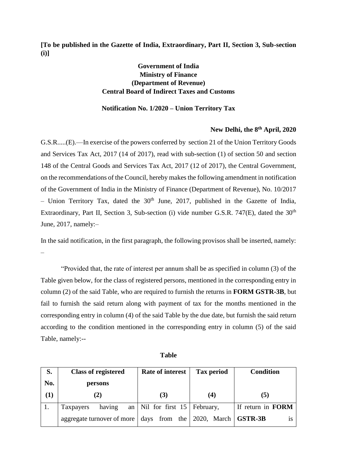**[To be published in the Gazette of India, Extraordinary, Part II, Section 3, Sub-section (i)]**

## **Government of India Ministry of Finance (Department of Revenue) Central Board of Indirect Taxes and Customs**

## **Notification No. 1/2020 – Union Territory Tax**

## **New Delhi, the 8 th April, 2020**

G.S.R.....(E).—In exercise of the powers conferred by section 21 of the Union Territory Goods and Services Tax Act, 2017 (14 of 2017), read with sub-section (1) of section 50 and section 148 of the Central Goods and Services Tax Act, 2017 (12 of 2017), the Central Government, on the recommendations of the Council, hereby makes the following amendment in notification of the Government of India in the Ministry of Finance (Department of Revenue), No. 10/2017 – Union Territory Tax, dated the  $30<sup>th</sup>$  June, 2017, published in the Gazette of India, Extraordinary, Part II, Section 3, Sub-section (i) vide number G.S.R. 747 $(E)$ , dated the 30<sup>th</sup> June, 2017, namely:–

In the said notification, in the first paragraph, the following provisos shall be inserted, namely: –

"Provided that, the rate of interest per annum shall be as specified in column (3) of the Table given below, for the class of registered persons, mentioned in the corresponding entry in column (2) of the said Table, who are required to furnish the returns in **FORM GSTR-3B**, but fail to furnish the said return along with payment of tax for the months mentioned in the corresponding entry in column (4) of the said Table by the due date, but furnish the said return according to the condition mentioned in the corresponding entry in column (5) of the said Table, namely:--

| S.  | <b>Class of registered</b> | Rate of interest | <b>Tax period</b> | <b>Condition</b>            |
|-----|----------------------------|------------------|-------------------|-----------------------------|
| No. | persons                    |                  |                   |                             |
| (1) | 2)                         | (3)              | (4)               | 5)                          |
|     | having<br>Taxpayers<br>an  | Nil for first 15 | February,         | If return in FORM           |
|     | aggregate turnover of more | days from the    | 2020, March       | $\overline{\text{GSTR-3B}}$ |

| ×<br>.,<br>۰. | ۰.<br>v | ×<br>۰, |
|---------------|---------|---------|
|               |         |         |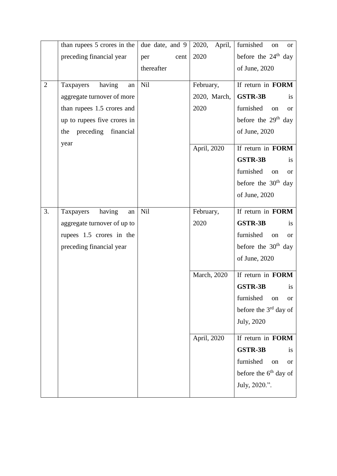|                | than rupees 5 crores in the | due date, and 9 | 2020,<br>April, | furnished<br>on<br><sub>or</sub>  |
|----------------|-----------------------------|-----------------|-----------------|-----------------------------------|
|                | preceding financial year    | per<br>cent     | 2020            | before the 24 <sup>th</sup> day   |
|                |                             | thereafter      |                 | of June, 2020                     |
| $\overline{2}$ | having<br>Taxpayers<br>an   | Nil             | February,       | If return in FORM                 |
|                |                             |                 |                 |                                   |
|                | aggregate turnover of more  |                 | 2020, March,    | <b>GSTR-3B</b><br>is              |
|                | than rupees 1.5 crores and  |                 | 2020            | furnished<br>on<br><b>or</b>      |
|                | up to rupees five crores in |                 |                 | before the $29th$ day             |
|                | the preceding financial     |                 |                 | of June, 2020                     |
|                | year                        |                 | April, 2020     | If return in FORM                 |
|                |                             |                 |                 | <b>GSTR-3B</b><br>is              |
|                |                             |                 |                 | furnished<br>on<br>or             |
|                |                             |                 |                 | before the $30th$ day             |
|                |                             |                 |                 | of June, 2020                     |
| 3.             | having<br>Taxpayers<br>an   | <b>Nil</b>      | February,       | If return in FORM                 |
|                | aggregate turnover of up to |                 | 2020            | <b>GSTR-3B</b><br>is              |
|                | rupees 1.5 crores in the    |                 |                 | furnished<br>on<br><sub>or</sub>  |
|                | preceding financial year    |                 |                 | before the $30th$ day             |
|                |                             |                 |                 | of June, 2020                     |
|                |                             |                 | March, 2020     | If return in FORM                 |
|                |                             |                 |                 | <b>GSTR-3B</b><br>is              |
|                |                             |                 |                 | furnished<br>on<br><b>or</b>      |
|                |                             |                 |                 | before the $3rd$ day of           |
|                |                             |                 |                 | July, 2020                        |
|                |                             |                 |                 |                                   |
|                |                             |                 | April, 2020     | If return in FORM                 |
|                |                             |                 |                 | <b>GSTR-3B</b><br>is              |
|                |                             |                 |                 | furnished<br>on<br>or             |
|                |                             |                 |                 | before the 6 <sup>th</sup> day of |
|                |                             |                 |                 | July, 2020.".                     |
|                |                             |                 |                 |                                   |